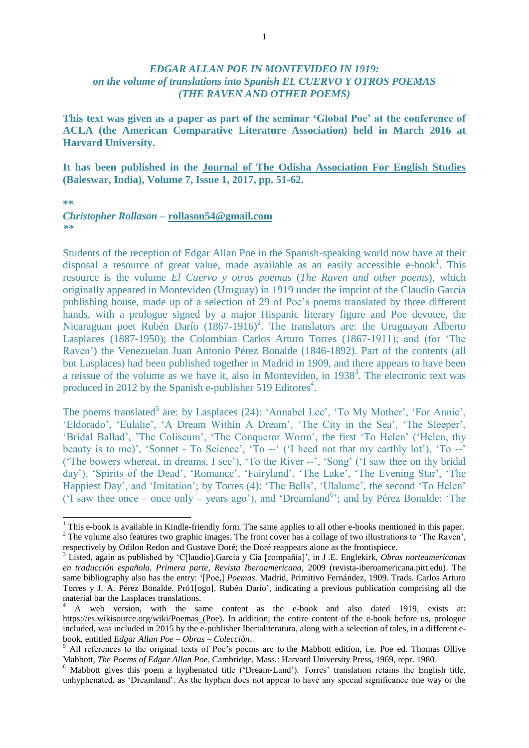## *EDGAR ALLAN POE IN MONTEVIDEO IN 1919: on the volume of translations into Spanish EL CUERVO Y OTROS POEMAS (THE RAVEN AND OTHER POEMS)*

**This text was given as a paper as part of the seminar 'Global Poe' at the conference of ACLA (the American Comparative Literature Association) held in March 2016 at Harvard University.**

**It has been published in the Journal of The Odisha Association For English Studies (Baleswar, India), Volume 7, Issue 1, 2017, pp. 51-62.**

**\*\***

1

## *Christopher Rollason* **– [rollason54@gmail.com](mailto:rollason54@gmail.com)** *\*\**

Students of the reception of Edgar Allan Poe in the Spanish-speaking world now have at their disposal a resource of great value, made available as an easily accessible e-book<sup>1</sup>. This resource is the volume *El Cuervo y otros poemas* (*The Raven and other poems*), which originally appeared in Montevideo (Uruguay) in 1919 under the imprint of the Claudio García publishing house, made up of a selection of 29 of Poe's poems translated by three different hands, with a prologue signed by a major Hispanic literary figure and Poe devotee, the Nicaraguan poet Rubén Darío (1867-1916)<sup>2</sup>. The translators are: the Uruguayan Alberto Lasplaces (1887-1950); the Colombian Carlos Arturo Torres (1867-1911); and (for 'The Raven') the Venezuelan Juan Antonio Pérez Bonalde (1846-1892). Part of the contents (all but Lasplaces) had been published together in Madrid in 1909, and there appears to have been a reissue of the volume as we have it, also in Montevideo, in 1938<sup>3</sup>. The electronic text was produced in 2012 by the Spanish e-publisher 519 Editores<sup>4</sup>.

The poems translated<sup>5</sup> are: by Lasplaces  $(24)$ : 'Annabel Lee', 'To My Mother', 'For Annie', 'Eldorado', 'Eulalie', 'A Dream Within A Dream', 'The City in the Sea', 'The Sleeper', 'Bridal Ballad', 'The Coliseum', 'The Conqueror Worm', the first 'To Helen' ('Helen, thy beauty is to me)', 'Sonnet - To Science', 'To --' ('I heed not that my earthly lot'), 'To --' ('The bowers whereat, in dreams, I see'), 'To the River --', 'Song' ('I saw thee on thy bridal day'), 'Spirits of the Dead', 'Romance', 'Fairyland', 'The Lake', 'The Evening Star', 'The Happiest Day', and 'Imitation'; by Torres (4): 'The Bells', 'Ulalume', the second 'To Helen' ('I saw thee once – once only – years ago'), and 'Dreamland 6 '; and by Pérez Bonalde: 'The

 $1$  This e-book is available in Kindle-friendly form. The same applies to all other e-books mentioned in this paper. <sup>2</sup> The volume also features two graphic images. The front cover has a collage of two illustrations to 'The Raven', respectively by Odilon Redon and Gustave Doré; the Doré reappears alone as the frontispiece.

<sup>3</sup> Listed, again as published by 'C[laudio].García y Cia [compañía]', in J .E. Englekirk, *Obras norteamericanas en traducción española. Primera parte*, *Revista Iberoamericana*, 2009 (revista-iberoamericana.pitt.edu). The same bibliography also has the entry: '[Poe,] *Poemas*. Madrid, Primitivo Fernández, 1909. Trads. Carlos Arturo Torres y J. A. Pérez Bonalde. Pró1[ogo]. Rubén Darío', indicating a previous publication comprising all the material bar the Lasplaces translations.

<sup>4</sup> A web version, with the same content as the e-book and also dated 1919, exists at: https://es.wikisource.org/wiki/Poemas (Poe). In addition, the entire content of the e-book before us, prologue included, was included in 2015 by the e-publisher Iberialiteratura, along with a selection of tales, in a different ebook, entitled *Edgar Allan Poe – Obras – Colección*.

<sup>5</sup> All references to the original texts of Poe's poems are to the Mabbott edition, i.e. Poe ed. Thomas Ollive Mabbott, *The Poems of Edgar Allan Poe*, Cambridge, Mass.: Harvard University Press, 1969, repr. 1980.

<sup>&</sup>lt;sup>6</sup> Mabbott gives this poem a hyphenated title ('Dream-Land'). Torres' translation retains the English title, unhyphenated, as 'Dreamland'. As the hyphen does not appear to have any special significance one way or the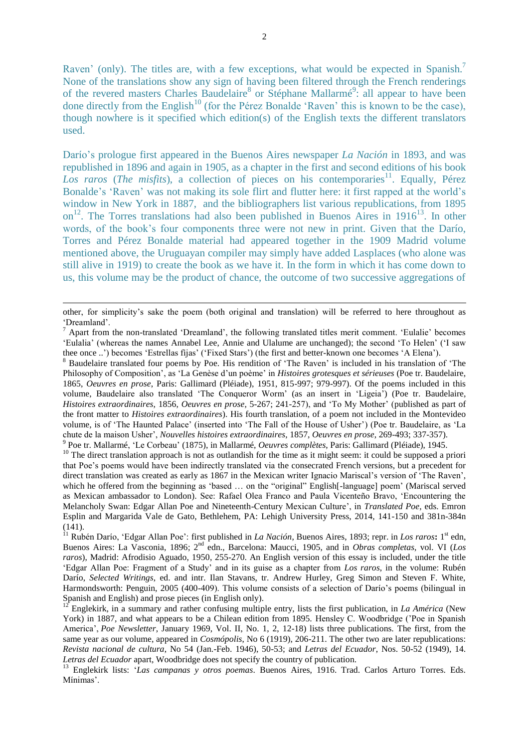Raven' (only). The titles are, with a few exceptions, what would be expected in Spanish.<sup>7</sup> None of the translations show any sign of having been filtered through the French renderings of the revered masters Charles Baudelaire<sup>8</sup> or Stéphane Mallarmé<sup>9</sup>: all appear to have been done directly from the English<sup>10</sup> (for the Pérez Bonalde 'Raven' this is known to be the case), though nowhere is it specified which edition(s) of the English texts the different translators used.

Darío's prologue first appeared in the Buenos Aires newspaper *La Nación* in 1893, and was republished in 1896 and again in 1905, as a chapter in the first and second editions of his book Los raros (The misfits), a collection of pieces on his contemporaries<sup>11</sup>. Equally, Pérez Bonalde's 'Raven' was not making its sole flirt and flutter here: it first rapped at the world's window in New York in 1887, and the bibliographers list various republications, from 1895 on<sup>12</sup>. The Torres translations had also been published in Buenos Aires in 1916<sup>13</sup>. In other words, of the book's four components three were not new in print. Given that the Darío, Torres and Pérez Bonalde material had appeared together in the 1909 Madrid volume mentioned above, the Uruguayan compiler may simply have added Lasplaces (who alone was still alive in 1919) to create the book as we have it. In the form in which it has come down to us, this volume may be the product of chance, the outcome of two successive aggregations of

1

<sup>10</sup> The direct translation approach is not as outlandish for the time as it might seem: it could be supposed a priori that Poe's poems would have been indirectly translated via the consecrated French versions, but a precedent for direct translation was created as early as 1867 in the Mexican writer Ignacio Mariscal's version of 'The Raven', which he offered from the beginning as 'based ... on the "original" English-language] poem' (Mariscal served as Mexican ambassador to London). See: Rafael Olea Franco and Paula Vicenteño Bravo, 'Encountering the Melancholy Swan: Edgar Allan Poe and Nineteenth-Century Mexican Culture', in *Translated Poe*, eds. Emron Esplin and Margarida Vale de Gato, Bethlehem, PA: Lehigh University Press, 2014, 141-150 and 381n-384n (141).

<sup>11</sup> Rubén Darío, 'Edgar Allan Poe': first published in *La Nación*, Buenos Aires, 1893; repr. in *Los raros***:** 1<sup>st</sup> edn, Buenos Aires: La Vasconia, 1896; 2<sup>nd</sup> edn., Barcelona: Maucci, 1905, and in *Obras completas*, vol. VI (*Los raros*), Madrid: Afrodisio Aguado, 1950, 255-270. An English version of this essay is included, under the title 'Edgar Allan Poe: Fragment of a Study' and in its guise as a chapter from *Los raros*, in the volume: Rubén Darío, *Selected Writings*, ed. and intr. Ilan Stavans, tr. Andrew Hurley, Greg Simon and Steven F. White, Harmondsworth: Penguin, 2005 (400-409). This volume consists of a selection of Darío's poems (bilingual in Spanish and English) and prose pieces (in English only).

<sup>12</sup> Englekirk, in a summary and rather confusing multiple entry, lists the first publication, in *La América* (New York) in 1887, and what appears to be a Chilean edition from 1895. Hensley C. Woodbridge ('Poe in Spanish America', *Poe Newsletter*, January 1969, Vol. II, No. 1, 2, 12-18) lists three publications. The first, from the same year as our volume, appeared in *Cosmópolis*, No 6 (1919), 206-211. The other two are later republications: *Revista nacional de cultura*, No 54 (Jan.-Feb. 1946), 50-53; and *Letras del Ecuador*, Nos. 50-52 (1949), 14. *Letras del Ecuador* apart, Woodbridge does not specify the country of publication.

<sup>13</sup> Englekirk lists: '*Las campanas y otros poemas*. Buenos Aires, 1916. Trad. Carlos Arturo Torres. Eds. Mínimas'.

other, for simplicity's sake the poem (both original and translation) will be referred to here throughout as 'Dreamland'.

<sup>7</sup> Apart from the non-translated 'Dreamland', the following translated titles merit comment. 'Eulalie' becomes 'Eulalia' (whereas the names Annabel Lee, Annie and Ulalume are unchanged); the second 'To Helen' ('I saw thee once ..') becomes 'Estrellas fijas' ('Fixed Stars') (the first and better-known one becomes 'A Elena').

<sup>8</sup> Baudelaire translated four poems by Poe. His rendition of 'The Raven' is included in his translation of 'The Philosophy of Composition', as 'La Genèse d'un poème' in *Histoires grotesques et sérieuses* (Poe tr. Baudelaire, 1865, *Oeuvres en prose*, Paris: Gallimard (Pléiade), 1951, 815-997; 979-997). Of the poems included in this volume, Baudelaire also translated 'The Conqueror Worm' (as an insert in 'Ligeia') (Poe tr. Baudelaire, *Histoires extraordinaires*, 1856, *Oeuvres en prose*, 5-267; 241-257), and 'To My Mother' (published as part of the front matter to *Histoires extraordinaires*). His fourth translation, of a poem not included in the Montevideo volume, is of 'The Haunted Palace' (inserted into 'The Fall of the House of Usher') (Poe tr. Baudelaire, as 'La chute de la maison Usher', *Nouvelles histoires extraordinaires*, 1857, *Oeuvres en prose*, 269-493; 337-357).

<sup>9</sup> Poe tr. Mallarmé, 'Le Corbeau' (1875), in Mallarmé, *Oeuvres complètes*, Paris: Gallimard (Pléiade), 1945.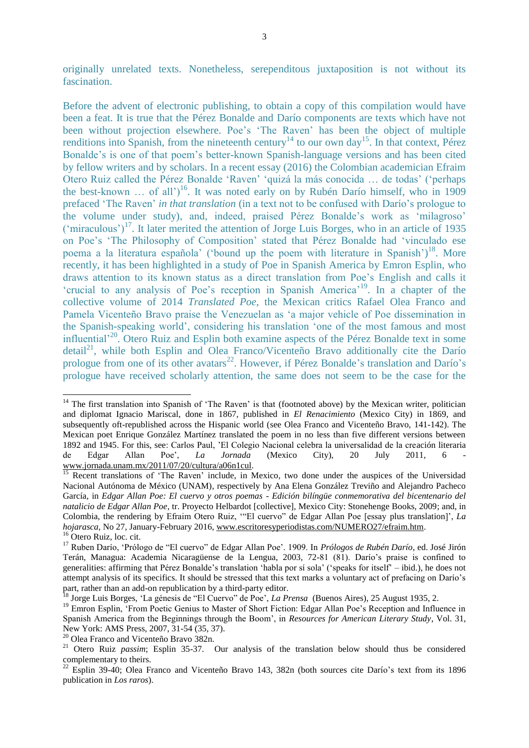originally unrelated texts. Nonetheless, serependitous juxtaposition is not without its fascination.

Before the advent of electronic publishing, to obtain a copy of this compilation would have been a feat. It is true that the Pérez Bonalde and Darío components are texts which have not been without projection elsewhere. Poe's 'The Raven' has been the object of multiple renditions into Spanish, from the nineteenth century<sup>14</sup> to our own day<sup>15</sup>. In that context, Pérez Bonalde's is one of that poem's better-known Spanish-language versions and has been cited by fellow writers and by scholars. In a recent essay (2016) the Colombian academician Efraim Otero Ruiz called the Pérez Bonalde 'Raven' 'quizá la más conocida … de todas' ('perhaps the best-known ... of all')<sup>16</sup>. It was noted early on by Rubén Darío himself, who in 1909 prefaced 'The Raven' *in that translation* (in a text not to be confused with Darío's prologue to the volume under study), and, indeed, praised Pérez Bonalde's work as 'milagroso'  $('miraculous')<sup>17</sup>$ . It later merited the attention of Jorge Luis Borges, who in an article of 1935 on Poe's 'The Philosophy of Composition' stated that Pérez Bonalde had 'vinculado ese poema a la literatura española' ('bound up the poem with literature in Spanish')<sup>18</sup>. More recently, it has been highlighted in a study of Poe in Spanish America by Emron Esplin, who draws attention to its known status as a direct translation from Poe's English and calls it 'crucial to any analysis of Poe's reception in Spanish America<sup>19</sup>. In a chapter of the collective volume of 2014 *Translated Poe*, the Mexican critics Rafael Olea Franco and Pamela Vicenteño Bravo praise the Venezuelan as 'a major vehicle of Poe dissemination in the Spanish-speaking world', considering his translation 'one of the most famous and most influential'<sup>20</sup>. Otero Ruiz and Esplin both examine aspects of the Pérez Bonalde text in some detail<sup>21</sup>, while both Esplin and Olea Franco/Vicenteño Bravo additionally cite the Darío prologue from one of its other avatars<sup>22</sup>. However, if Pérez Bonalde's translation and Darío's prologue have received scholarly attention, the same does not seem to be the case for the

1

<sup>&</sup>lt;sup>14</sup> The first translation into Spanish of 'The Raven' is that (footnoted above) by the Mexican writer, politician and diplomat Ignacio Mariscal, done in 1867, published in *El Renacimiento* (Mexico City) in 1869, and subsequently oft-republished across the Hispanic world (see Olea Franco and Vicenteño Bravo, 141-142). The Mexican poet Enrique González Martínez translated the poem in no less than five different versions between 1892 and 1945. For this, see: Carlos Paul, 'El Colegio Nacional celebra la universalidad de la creación literaria de Edgar Allan Poe', *La Jornada* (Mexico City), 20 July 2011, 6 [www.jornada.unam.mx/2011/07/20/cultura/a06n1cul.](http://www.jornada.unam.mx/2011/07/20/cultura/a06n1cul)

Recent translations of 'The Raven' include, in Mexico, two done under the auspices of the Universidad Nacional Autónoma de México (UNAM), respectively by Ana Elena González Treviño and Alejandro Pacheco García, in *Edgar Allan Poe: El cuervo y otros poemas - Edición bilíngüe conmemorativa del bicentenario del natalicio de Edgar Allan Poe*, tr. Proyecto Helbardot [collective], Mexico City: Stonehenge Books, 2009; and, in Colombia, the rendering by Efraim Otero Ruiz, '"El cuervo" de Edgar Allan Poe [essay plus translation]', *La hojarasca*, No 27, January-February 2016[, www.escritoresyperiodistas.com/NUMERO27/efraim.htm.](http://www.escritoresyperiodistas.com/NUMERO27/efraim.htm) <sup>16</sup> Otero Ruiz, loc. cit.

<sup>17</sup> Ruben Darío, 'Prólogo de "El cuervo" de Edgar Allan Poe'. 1909. In *Prólogos de Rubén Darío*, ed. José Jirón Terán, Managua: Academia Nicaragüense de la Lengua, 2003, 72-81 (81). Darío's praise is confined to generalities: affirming that Pérez Bonalde's translation 'habla por sí sola' ('speaks for itself' – ibid.), he does not attempt analysis of its specifics. It should be stressed that this text marks a voluntary act of prefacing on Darío's part, rather than an add-on republication by a third-party editor.

<sup>18</sup> Jorge Luis Borges, 'La génesis de "El Cuervo" de Poe', *La Prensa* (Buenos Aires), 25 August 1935, 2.

<sup>&</sup>lt;sup>19</sup> Emron Esplin, 'From Poetic Genius to Master of Short Fiction: Edgar Allan Poe's Reception and Influence in Spanish America from the Beginnings through the Boom', in *Resources for American Literary Study*, Vol. 31, New York: AMS Press, 2007, 31-54 (35, 37).

<sup>20</sup> Olea Franco and Vicenteño Bravo 382n.

<sup>21</sup> Otero Ruiz *passim*; Esplin 35-37. Our analysis of the translation below should thus be considered complementary to theirs.

 $22$  Esplin 39-40; Olea Franco and Vicenteño Bravo 143, 382n (both sources cite Darío's text from its 1896 publication in *Los raros*).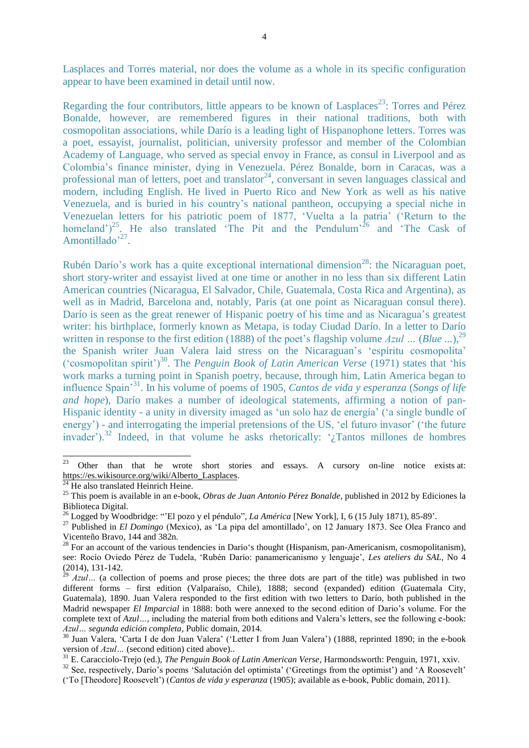Lasplaces and Torres material, nor does the volume as a whole in its specific configuration appear to have been examined in detail until now.

Regarding the four contributors, little appears to be known of Lasplaces<sup>23</sup>: Torres and Pérez Bonalde, however, are remembered figures in their national traditions, both with cosmopolitan associations, while Darío is a leading light of Hispanophone letters. Torres was a poet, essayist, journalist, politician, university professor and member of the Colombian Academy of Language, who served as special envoy in France, as consul in Liverpool and as Colombia's finance minister, dying in Venezuela. Pérez Bonalde, born in Caracas, was a professional man of letters, poet and translator<sup>24</sup>, conversant in seven languages classical and modern, including English. He lived in Puerto Rico and New York as well as his native Venezuela, and is buried in his country's national pantheon, occupying a special niche in Venezuelan letters for his patriotic poem of 1877, 'Vuelta a la patria' ('Return to the homeland')<sup>25</sup>. He also translated 'The Pit and the Pendulum'<sup>26</sup> and 'The Cask of Amontillado<sup>, 27</sup>.

Rubén Darío's work has a quite exceptional international dimension<sup>28</sup>: the Nicaraguan poet, short story-writer and essayist lived at one time or another in no less than six different Latin American countries (Nicaragua, El Salvador, Chile, Guatemala, Costa Rica and Argentina), as well as in Madrid, Barcelona and, notably, Paris (at one point as Nicaraguan consul there). Darío is seen as the great renewer of Hispanic poetry of his time and as Nicaragua's greatest writer: his birthplace, formerly known as Metapa, is today Ciudad Darío. In a letter to Darío written in response to the first edition (1888) of the poet's flagship volume Azul ... (Blue ...),<sup>29</sup> the Spanish writer Juan Valera laid stress on the Nicaraguan's 'espíritu cosmopolita' ('cosmopolitan spirit')<sup>30</sup>. The *Penguin Book of Latin American Verse* (1971) states that 'his work marks a turning point in Spanish poetry, because, through him, Latin America began to influence Spain'<sup>31</sup> . In his volume of poems of 1905, *Cantos de vida y esperanza* (*Songs of life and hope*), Darío makes a number of ideological statements, affirming a notion of pan-Hispanic identity - a unity in diversity imaged as 'un solo haz de energía' ('a single bundle of energy') - and interrogating the imperial pretensions of the US, 'el futuro invasor' ('the future invader'). <sup>32</sup> Indeed, in that volume he asks rhetorically: '¿Tantos millones de hombres

 $23\,$ <sup>23</sup> Other than that he wrote short stories and essays. A cursory on-line notice exists at: [https://es.wikisource.org/wiki/Alberto\\_Lasplaces.](https://es.wikisource.org/wiki/Alberto_Lasplaces) 

He also translated Heinrich Heine.

<sup>25</sup> This poem is available in an e-book, *Obras de Juan Antonio Pérez Bonalde*, published in 2012 by Ediciones la Biblioteca Digital.

<sup>26</sup> Logged by Woodbridge: "'El pozo y el péndulo", *La América* [New York], I, 6 (15 July 1871), 85-89'.

<sup>27</sup> Published in *El Domingo* (Mexico), as 'La pipa del amontillado', on 12 January 1873. See Olea Franco and Vicenteño Bravo, 144 and 382n.

<sup>&</sup>lt;sup>28</sup> For an account of the various tendencies in Darío's thought (Hispanism, pan-Americanism, cosmopolitanism), see: Rocío Oviedo Pérez de Tudela, 'Rubén Darío: panamericanismo y lenguaje', *Les ateliers du SAL*, No 4 (2014), 131-142.

Azul... (a collection of poems and prose pieces; the three dots are part of the title) was published in two different forms – first edition (Valparaíso, Chile), 1888; second (expanded) edition (Guatemala City, Guatemala), 1890. Juan Valera responded to the first edition with two letters to Darío, both published in the Madrid newspaper *El Imparcial* in 1888: both were annexed to the second edition of Dario's volume. For the complete text of *Azul…,* including the material from both editions and Valera's letters, see the following e-book: *Azul… segunda edición completa*, Public domain, 2014.

<sup>30</sup> Juan Valera, 'Carta I de don Juan Valera' ('Letter I from Juan Valera') (1888, reprinted 1890; in the e-book version of *Azul…* (second edition) cited above)..

<sup>31</sup> E. Caracciolo-Trejo (ed.), *The Penguin Book of Latin American Verse*, Harmondsworth: Penguin, 1971, xxiv.

<sup>&</sup>lt;sup>32</sup> See, respectively, Darío's poems 'Salutación del optimista' ('Greetings from the optimist') and 'A Roosevelt'

<sup>(&#</sup>x27;To [Theodore] Roosevelt') (*Cantos de vida y esperanza* (1905); available as e-book, Public domain, 2011).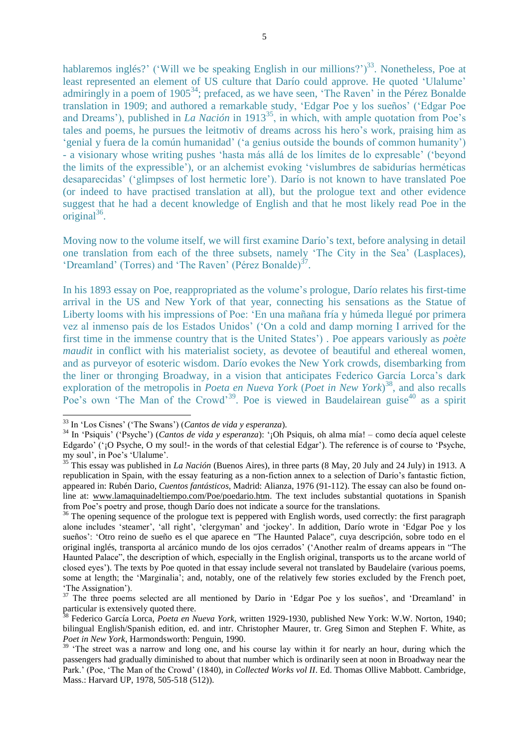hablaremos inglés?' ('Will we be speaking English in our millions?')<sup>33</sup>. Nonetheless, Poe at least represented an element of US culture that Darío could approve. He quoted 'Ulalume' admiringly in a poem of  $1905^{34}$ ; prefaced, as we have seen, 'The Raven' in the Pérez Bonalde translation in 1909; and authored a remarkable study, 'Edgar Poe y los sueños' ('Edgar Poe and Dreams'), published in *La Nación* in  $1913^{35}$ , in which, with ample quotation from Poe's tales and poems, he pursues the leitmotiv of dreams across his hero's work, praising him as 'genial y fuera de la común humanidad' ('a genius outside the bounds of common humanity') - a visionary whose writing pushes 'hasta más allá de los límites de lo expresable' ('beyond the limits of the expressible'), or an alchemist evoking 'vislumbres de sabidurías herméticas desaparecidas' ('glimpses of lost hermetic lore'). Darío is not known to have translated Poe (or indeed to have practised translation at all), but the prologue text and other evidence suggest that he had a decent knowledge of English and that he most likely read Poe in the  $original<sup>36</sup>$ .

Moving now to the volume itself, we will first examine Darío's text, before analysing in detail one translation from each of the three subsets, namely 'The City in the Sea' (Lasplaces), 'Dreamland' (Torres) and 'The Raven' (Pérez Bonalde) $3^7$ .

In his 1893 essay on Poe, reappropriated as the volume's prologue, Darío relates his first-time arrival in the US and New York of that year, connecting his sensations as the Statue of Liberty looms with his impressions of Poe: 'En una mañana fría y húmeda llegué por primera vez al inmenso país de los Estados Unidos' ('On a cold and damp morning I arrived for the first time in the immense country that is the United States') . Poe appears variously as *poète maudit* in conflict with his materialist society, as devotee of beautiful and ethereal women, and as purveyor of esoteric wisdom. Darío evokes the New York crowds, disembarking from the liner or thronging Broadway, in a vision that anticipates Federico García Lorca's dark exploration of the metropolis in *Poeta en Nueva York* (*Poet in New York*) 38 , and also recalls Poe's own 'The Man of the Crowd'<sup>39</sup>. Poe is viewed in Baudelairean guise<sup>40</sup> as a spirit

-

<sup>33</sup> In 'Los Cisnes' ('The Swans') (*Cantos de vida y esperanza*).

<sup>34</sup> In 'Psiquis' ('Psyche') (*Cantos de vida y esperanza*): '¡Oh Psiquis, oh alma mía! – como decía aquel celeste Edgardo' ('¡O Psyche, O my soul!- in the words of that celestial Edgar'). The reference is of course to 'Psyche, my soul', in Poe's 'Ulalume'.

<sup>35</sup> This essay was published in *La Nación* (Buenos Aires), in three parts (8 May, 20 July and 24 July) in 1913. A republication in Spain, with the essay featuring as a non-fiction annex to a selection of Darío's fantastic fiction, appeared in: Rubén Dario, *Cuentos fantásticos*, Madrid: Alianza, 1976 (91-112). The essay can also be found online at: [www.lamaquinadeltiempo.com/Poe/poedario.htm.](http://www.lamaquinadeltiempo.com/Poe/poedario.htm) The text includes substantial quotations in Spanish from Poe's poetry and prose, though Darío does not indicate a source for the translations.

<sup>&</sup>lt;sup>36</sup> The opening sequence of the prologue text is peppered with English words, used correctly: the first paragraph alone includes 'steamer', 'all right', 'clergyman' and 'jockey'. In addition, Darío wrote in 'Edgar Poe y los sueños': 'Otro reino de sueño es el que aparece en "The Haunted Palace", cuya descripción, sobre todo en el original inglés, transporta al arcánico mundo de los ojos cerrados' ('Another realm of dreams appears in "The Haunted Palace", the description of which, especially in the English original, transports us to the arcane world of closed eyes'). The texts by Poe quoted in that essay include several not translated by Baudelaire (various poems, some at length; the 'Marginalia'; and, notably, one of the relatively few stories excluded by the French poet, 'The Assignation').

<sup>&</sup>lt;sup>37</sup> The three poems selected are all mentioned by Darío in 'Edgar Poe y los sueños', and 'Dreamland' in particular is extensively quoted there.

<sup>38</sup> Federico García Lorca, *Poeta en Nueva York*, written 1929-1930, published New York: W.W. Norton, 1940; bilingual English/Spanish edition, ed. and intr. Christopher Maurer, tr. Greg Simon and Stephen F. White, as *Poet in New York*, Harmondsworth: Penguin, 1990.

<sup>&</sup>lt;sup>39</sup> 'The street was a narrow and long one, and his course lay within it for nearly an hour, during which the passengers had gradually diminished to about that number which is ordinarily seen at noon in Broadway near the Park.' (Poe, 'The Man of the Crowd' (1840), in *Collected Works vol II*. Ed. Thomas Ollive Mabbott. Cambridge, Mass.: Harvard UP, 1978, 505-518 (512)).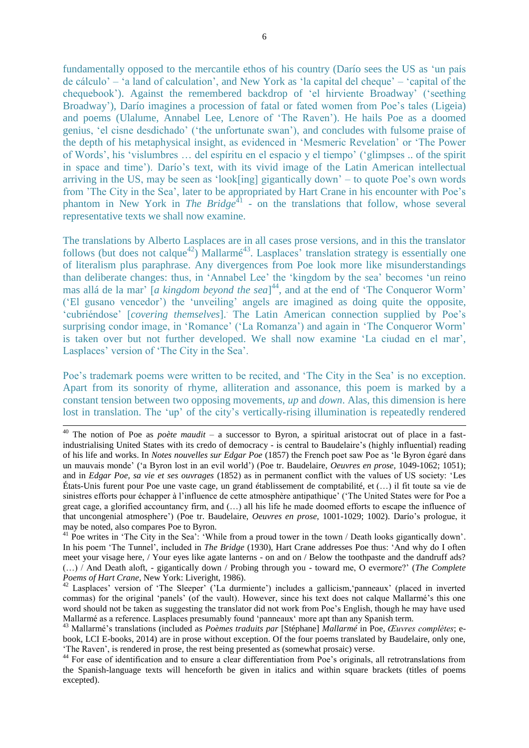6

fundamentally opposed to the mercantile ethos of his country (Darío sees the US as 'un país de cálculo' – 'a land of calculation', and New York as 'la capital del cheque' – 'capital of the chequebook'). Against the remembered backdrop of 'el hirviente Broadway' ('seething Broadway'), Darío imagines a procession of fatal or fated women from Poe's tales (Ligeia) and poems (Ulalume, Annabel Lee, Lenore of 'The Raven'). He hails Poe as a doomed genius, 'el cisne desdichado' ('the unfortunate swan'), and concludes with fulsome praise of the depth of his metaphysical insight, as evidenced in 'Mesmeric Revelation' or 'The Power of Words', his 'vislumbres … del espíritu en el espacio y el tiempo' ('glimpses .. of the spirit in space and time'). Darío's text, with its vivid image of the Latin American intellectual arriving in the US, may be seen as 'look[ing] gigantically down' – to quote Poe's own words from 'The City in the Sea', later to be appropriated by Hart Crane in his encounter with Poe's phantom in New York in *The Bridge*<sup>41</sup> - on the translations that follow, whose several representative texts we shall now examine.

The translations by Alberto Lasplaces are in all cases prose versions, and in this the translator follows (but does not calque<sup>42</sup>) Mallarmé<sup>43</sup>. Lasplaces' translation strategy is essentially one of literalism plus paraphrase. Any divergences from Poe look more like misunderstandings than deliberate changes: thus, in 'Annabel Lee' the 'kingdom by the sea' becomes 'un reino mas allá de la mar' [*a kingdom beyond the sea*] 44 , and at the end of 'The Conqueror Worm' ('El gusano vencedor') the 'unveiling' angels are imagined as doing quite the opposite, 'cubriéndose' [*covering themselves*]. . The Latin American connection supplied by Poe's surprising condor image, in 'Romance' ('La Romanza') and again in 'The Conqueror Worm' is taken over but not further developed. We shall now examine 'La ciudad en el mar', Lasplaces' version of 'The City in the Sea'.

Poe's trademark poems were written to be recited, and 'The City in the Sea' is no exception. Apart from its sonority of rhyme, alliteration and assonance, this poem is marked by a constant tension between two opposing movements, *up* and *down*. Alas, this dimension is here lost in translation. The 'up' of the city's vertically-rising illumination is repeatedly rendered

1

<sup>40</sup> The notion of Poe as *poète maudit* – a successor to Byron, a spiritual aristocrat out of place in a fastindustrialising United States with its credo of democracy - is central to Baudelaire's (highly influential) reading of his life and works. In *Notes nouvelles sur Edgar Poe* (1857) the French poet saw Poe as 'le Byron égaré dans un mauvais monde' ('a Byron lost in an evil world') (Poe tr. Baudelaire, *Oeuvres en prose,* 1049-1062; 1051); and in *Edgar Poe, sa vie et ses ouvrages* (1852) as in permanent conflict with the values of US society: 'Les États-Unis furent pour Poe une vaste cage, un grand établissement de comptabilité, et (…) il fit toute sa vie de sinistres efforts pour échapper à l'influence de cette atmosphère antipathique' ('The United States were for Poe a great cage, a glorified accountancy firm, and (…) all his life he made doomed efforts to escape the influence of that uncongenial atmosphere') (Poe tr. Baudelaire, *Oeuvres en prose*, 1001-1029; 1002). Darío's prologue, it may be noted, also compares Poe to Byron.

<sup>&</sup>lt;sup>41</sup> Poe writes in 'The City in the Sea': 'While from a proud tower in the town / Death looks gigantically down'. In his poem 'The Tunnel', included in *The Bridge* (1930), Hart Crane addresses Poe thus: 'And why do I often meet your visage here, / Your eyes like agate lanterns - on and on / Below the toothpaste and the dandruff ads? (…) / And Death aloft, - gigantically down / Probing through you - toward me, O evermore?' (*The Complete Poems of Hart Crane*, New York: Liveright, 1986).

<sup>&</sup>lt;sup>42</sup> Lasplaces' version of 'The Sleeper' ('La durmiente') includes a gallicism, 'panneaux' (placed in inverted commas) for the original 'panels' (of the vault). However, since his text does not calque Mallarmé's this one word should not be taken as suggesting the translator did not work from Poe's English, though he may have used Mallarmé as a reference. Lasplaces presumably found 'panneaux' more apt than any Spanish term.

<sup>43</sup> Mallarmé's translations (included as *Poèmes traduits par* [Stéphane] *Mallarmé* in Poe, *Œuvres complètes*; ebook, LCI E-books, 2014) are in prose without exception. Of the four poems translated by Baudelaire, only one, 'The Raven', is rendered in prose, the rest being presented as (somewhat prosaic) verse.

<sup>44</sup> For ease of identification and to ensure a clear differentiation from Poe's originals, all retrotranslations from the Spanish-language texts will henceforth be given in italics and within square brackets (titles of poems excepted).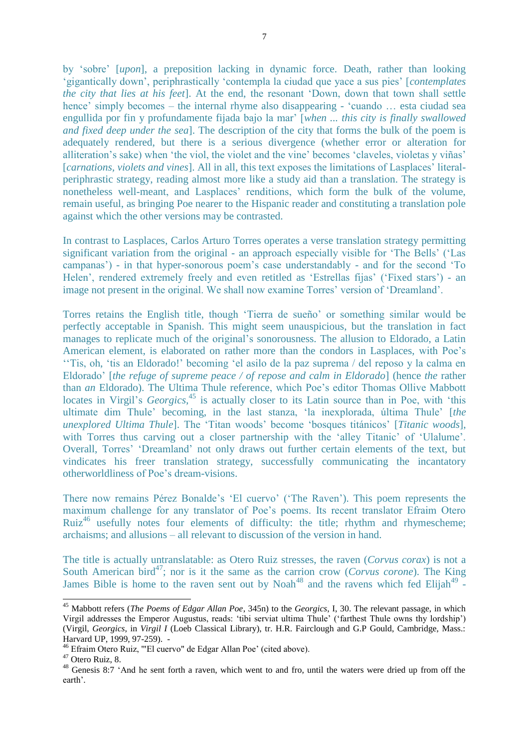by 'sobre' [*upon*], a preposition lacking in dynamic force. Death, rather than looking 'gigantically down', periphrastically 'contempla la ciudad que yace a sus pies' [*contemplates the city that lies at his feet*]. At the end, the resonant 'Down, down that town shall settle hence' simply becomes – the internal rhyme also disappearing - 'cuando ... esta ciudad sea engullida por fin y profundamente fijada bajo la mar' [*when ... this city is finally swallowed and fixed deep under the sea*]. The description of the city that forms the bulk of the poem is adequately rendered, but there is a serious divergence (whether error or alteration for alliteration's sake) when 'the viol, the violet and the vine' becomes 'claveles, violetas y viñas' [*carnations, violets and vines*]. All in all, this text exposes the limitations of Lasplaces' literalperiphrastic strategy, reading almost more like a study aid than a translation. The strategy is nonetheless well-meant, and Lasplaces' renditions, which form the bulk of the volume, remain useful, as bringing Poe nearer to the Hispanic reader and constituting a translation pole against which the other versions may be contrasted.

In contrast to Lasplaces, Carlos Arturo Torres operates a verse translation strategy permitting significant variation from the original - an approach especially visible for 'The Bells' ('Las campanas') - in that hyper-sonorous poem's case understandably - and for the second 'To Helen', rendered extremely freely and even retitled as 'Estrellas fijas' ('Fixed stars') - an image not present in the original. We shall now examine Torres' version of 'Dreamland'.

Torres retains the English title, though 'Tierra de sueño' or something similar would be perfectly acceptable in Spanish. This might seem unauspicious, but the translation in fact manages to replicate much of the original's sonorousness. The allusion to Eldorado, a Latin American element, is elaborated on rather more than the condors in Lasplaces, with Poe's ''Tis, oh, 'tis an Eldorado!' becoming 'el asilo de la paz suprema / del reposo y la calma en Eldorado' [*the refuge of supreme peace / of repose and calm in Eldorado*] (hence *the* rather than *an* Eldorado). The Ultima Thule reference, which Poe's editor Thomas Ollive Mabbott locates in Virgil's *Georgics*<sup>45</sup>, is actually closer to its Latin source than in Poe, with 'this ultimate dim Thule' becoming, in the last stanza, 'la inexplorada, última Thule' [*the unexplored Ultima Thule*]. The 'Titan woods' become 'bosques titánicos' [*Titanic woods*], with Torres thus carving out a closer partnership with the 'alley Titanic' of 'Ulalume'. Overall, Torres' 'Dreamland' not only draws out further certain elements of the text, but vindicates his freer translation strategy, successfully communicating the incantatory otherworldliness of Poe's dream-visions.

There now remains Pérez Bonalde's 'El cuervo' ('The Raven'). This poem represents the maximum challenge for any translator of Poe's poems. Its recent translator Efraim Otero Ruiz<sup>46</sup> usefully notes four elements of difficulty: the title; rhythm and rhymescheme; archaisms; and allusions – all relevant to discussion of the version in hand.

The title is actually untranslatable: as Otero Ruiz stresses, the raven (*Corvus corax*) is not a South American bird<sup>47</sup>; nor is it the same as the carrion crow (*Corvus corone*). The King James Bible is home to the raven sent out by Noah<sup>48</sup> and the ravens which fed Elijah<sup>49</sup> -

-

<sup>45</sup> Mabbott refers (*The Poems of Edgar Allan Poe*, 345n) to the *Georgics*, I, 30. The relevant passage, in which Virgil addresses the Emperor Augustus, reads: 'tibi serviat ultima Thule' ('farthest Thule owns thy lordship') (Virgil, *Georgics*, in *Virgil I* (Loeb Classical Library), tr. H.R. Fairclough and G.P Gould, Cambridge, Mass.: Harvard UP, 1999, 97-259). -

<sup>46</sup> Efraim Otero Ruiz, '"El cuervo" de Edgar Allan Poe' (cited above).

<sup>47</sup> Otero Ruiz, 8.

<sup>&</sup>lt;sup>48</sup> Genesis 8:7 'And he sent forth a raven, which went to and fro, until the waters were dried up from off the earth'.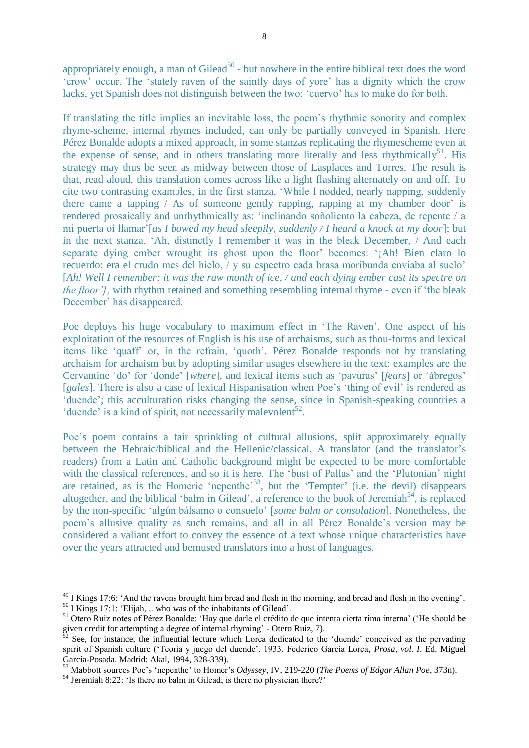appropriately enough, a man of Gilead<sup>50</sup> - but nowhere in the entire biblical text does the word 'crow' occur. The 'stately raven of the saintly days of yore' has a dignity which the crow lacks, yet Spanish does not distinguish between the two: 'cuervo' has to make do for both.

If translating the title implies an inevitable loss, the poem's rhythmic sonority and complex rhyme-scheme, internal rhymes included, can only be partially conveyed in Spanish. Here Pérez Bonalde adopts a mixed approach, in some stanzas replicating the rhymescheme even at the expense of sense, and in others translating more literally and less rhythmically<sup>51</sup>. His strategy may thus be seen as midway between those of Lasplaces and Torres. The result is that, read aloud, this translation comes across like a light flashing alternately on and off. To cite two contrasting examples, in the first stanza, 'While I nodded, nearly napping, suddenly there came a tapping / As of someone gently rapping, rapping at my chamber door' is rendered prosaically and unrhythmically as: 'inclinando soñoliento la cabeza, de repente / a mi puerta oí llamar'[*as I bowed my head sleepily, suddenly / I heard a knock at my door*]; but in the next stanza, 'Ah, distinctly I remember it was in the bleak December, / And each separate dying ember wrought its ghost upon the floor' becomes: '¡Ah! Bien claro lo recuerdo: era el crudo mes del hielo, / y su espectro cada brasa moribunda enviaba al suelo' [*Ah! Well I remember: it was the raw month of ice, / and each dying ember cast its spectre on the floor']*, with rhythm retained and something resembling internal rhyme - even if 'the bleak December' has disappeared.

Poe deploys his huge vocabulary to maximum effect in 'The Raven'. One aspect of his exploitation of the resources of English is his use of archaisms, such as thou-forms and lexical items like 'quaff' or, in the refrain, 'quoth'. Pérez Bonalde responds not by translating archaism for archaism but by adopting similar usages elsewhere in the text: examples are the Cervantine 'do' for 'donde' [*where*], and lexical items such as 'pavuras' [*fears*] or 'ábregos' [*gales*]. There is also a case of lexical Hispanisation when Poe's 'thing of evil' is rendered as 'duende'; this acculturation risks changing the sense, since in Spanish-speaking countries a 'duende' is a kind of spirit, not necessarily malevolent<sup>52</sup>.

Poe's poem contains a fair sprinkling of cultural allusions, split approximately equally between the Hebraic/biblical and the Hellenic/classical. A translator (and the translator's readers) from a Latin and Catholic background might be expected to be more comfortable with the classical references, and so it is here. The 'bust of Pallas' and the 'Plutonian' night are retained, as is the Homeric 'nepenthe'<sup>53</sup>, but the 'Tempter' (i.e. the devil) disappears altogether, and the biblical 'balm in Gilead', a reference to the book of Jeremiah<sup>54</sup>, is replaced by the non-specific 'algún bálsamo o consuelo' [*some balm or consolation*]. Nonetheless, the poem's allusive quality as such remains, and all in all Pérez Bonalde's version may be considered a valiant effort to convey the essence of a text whose unique characteristics have over the years attracted and bemused translators into a host of languages.

<sup>54</sup> Jeremiah 8:22: 'Is there no balm in Gilead; is there no physician there?'

1

<sup>&</sup>lt;sup>49</sup> I Kings 17:6: 'And the ravens brought him bread and flesh in the morning, and bread and flesh in the evening'.  $50$  I Kings 17:1: 'Elijah, .. who was of the inhabitants of Gilead'.

<sup>51</sup> Otero Ruiz notes of Pérez Bonalde: 'Hay que darle el crédito de que intenta cierta rima interna' ('He should be given credit for attempting a degree of internal rhyming' - Otero Ruiz, 7).

See, for instance, the influential lecture which Lorca dedicated to the 'duende' conceived as the pervading spirit of Spanish culture ('Teoría y juego del duende'. 1933. Federico García Lorca, *Prosa, vol. I*. Ed. Miguel García-Posada. Madrid: Akal, 1994, 328-339).

<sup>53</sup> Mabbott sources Poe's 'nepenthe' to Homer's *Odyssey*, IV, 219-220 (*The Poems of Edgar Allan Poe*, 373n).